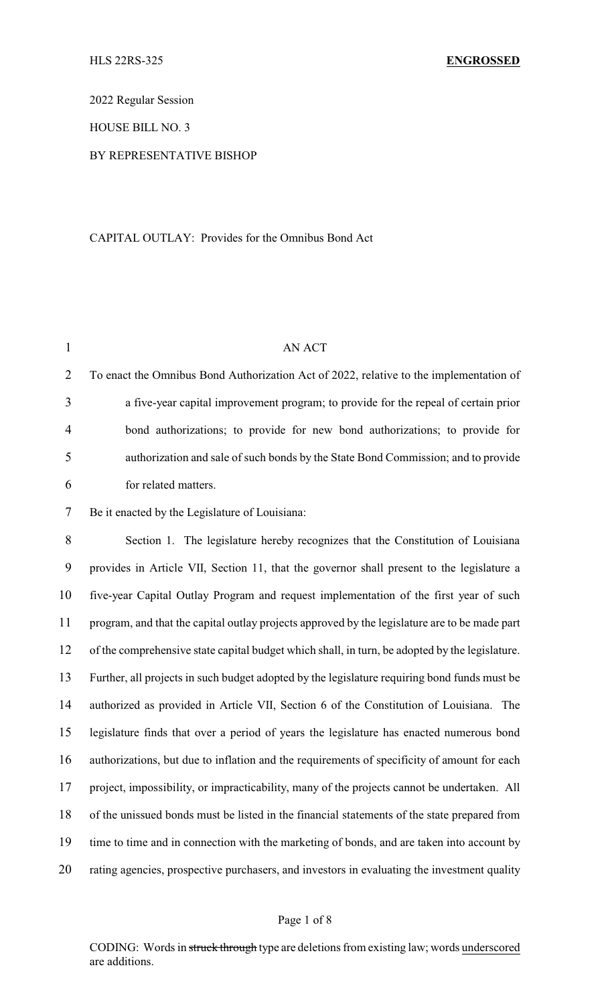2022 Regular Session

HOUSE BILL NO. 3

# BY REPRESENTATIVE BISHOP

## CAPITAL OUTLAY: Provides for the Omnibus Bond Act

| $\mathbf{1}$   | AN ACT                                                                                         |
|----------------|------------------------------------------------------------------------------------------------|
| $\overline{2}$ | To enact the Omnibus Bond Authorization Act of 2022, relative to the implementation of         |
| 3              | a five-year capital improvement program; to provide for the repeal of certain prior            |
| 4              | bond authorizations; to provide for new bond authorizations; to provide for                    |
| 5              | authorization and sale of such bonds by the State Bond Commission; and to provide              |
| 6              | for related matters.                                                                           |
| 7              | Be it enacted by the Legislature of Louisiana:                                                 |
| 8              | Section 1. The legislature hereby recognizes that the Constitution of Louisiana                |
| 9              | provides in Article VII, Section 11, that the governor shall present to the legislature a      |
| 10             | five-year Capital Outlay Program and request implementation of the first year of such          |
| 11             | program, and that the capital outlay projects approved by the legislature are to be made part  |
| 12             | of the comprehensive state capital budget which shall, in turn, be adopted by the legislature. |
| 13             | Further, all projects in such budget adopted by the legislature requiring bond funds must be   |
| 14             | authorized as provided in Article VII, Section 6 of the Constitution of Louisiana. The         |
| 15             | legislature finds that over a period of years the legislature has enacted numerous bond        |
| 16             | authorizations, but due to inflation and the requirements of specificity of amount for each    |
| 17             | project, impossibility, or impracticability, many of the projects cannot be undertaken. All    |
| 18             | of the unissued bonds must be listed in the financial statements of the state prepared from    |
| 19             | time to time and in connection with the marketing of bonds, and are taken into account by      |
| 20             | rating agencies, prospective purchasers, and investors in evaluating the investment quality    |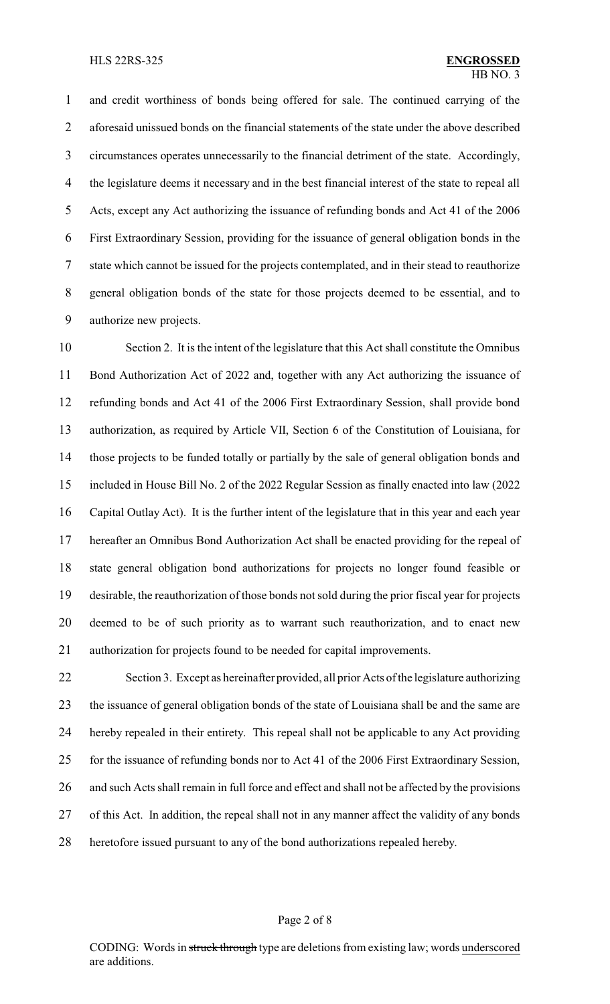and credit worthiness of bonds being offered for sale. The continued carrying of the aforesaid unissued bonds on the financial statements of the state under the above described circumstances operates unnecessarily to the financial detriment of the state. Accordingly, the legislature deems it necessary and in the best financial interest of the state to repeal all Acts, except any Act authorizing the issuance of refunding bonds and Act 41 of the 2006 First Extraordinary Session, providing for the issuance of general obligation bonds in the state which cannot be issued for the projects contemplated, and in their stead to reauthorize general obligation bonds of the state for those projects deemed to be essential, and to authorize new projects.

 Section 2. It is the intent of the legislature that this Act shall constitute the Omnibus Bond Authorization Act of 2022 and, together with any Act authorizing the issuance of refunding bonds and Act 41 of the 2006 First Extraordinary Session, shall provide bond authorization, as required by Article VII, Section 6 of the Constitution of Louisiana, for those projects to be funded totally or partially by the sale of general obligation bonds and included in House Bill No. 2 of the 2022 Regular Session as finally enacted into law (2022 Capital Outlay Act). It is the further intent of the legislature that in this year and each year hereafter an Omnibus Bond Authorization Act shall be enacted providing for the repeal of state general obligation bond authorizations for projects no longer found feasible or desirable, the reauthorization of those bonds not sold during the prior fiscal year for projects deemed to be of such priority as to warrant such reauthorization, and to enact new authorization for projects found to be needed for capital improvements.

 Section 3. Except as hereinafter provided, all prior Acts of the legislature authorizing the issuance of general obligation bonds of the state of Louisiana shall be and the same are hereby repealed in their entirety. This repeal shall not be applicable to any Act providing for the issuance of refunding bonds nor to Act 41 of the 2006 First Extraordinary Session, and such Acts shall remain in full force and effect and shall not be affected by the provisions of this Act. In addition, the repeal shall not in any manner affect the validity of any bonds heretofore issued pursuant to any of the bond authorizations repealed hereby.

### Page 2 of 8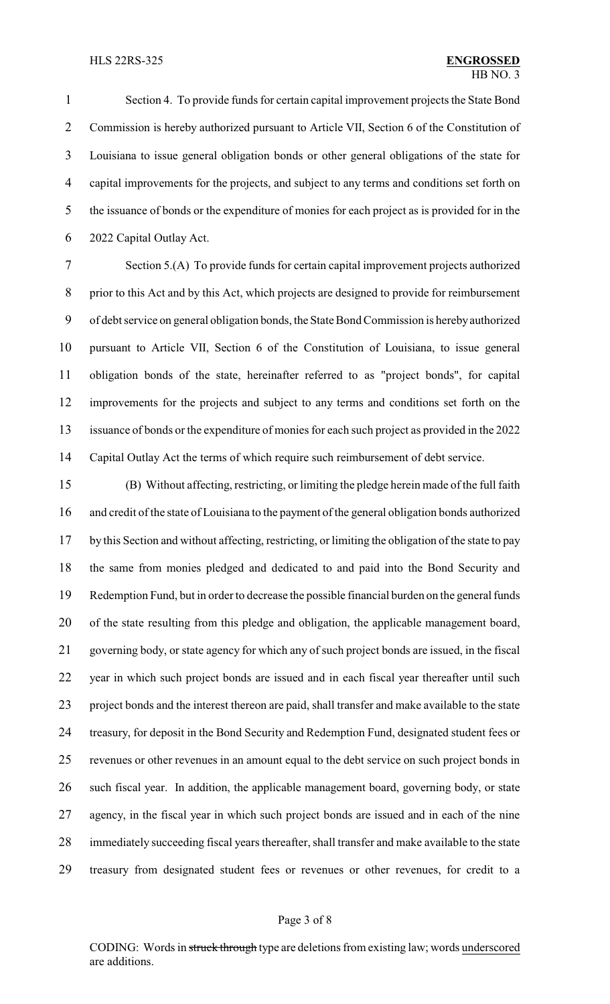#### HLS 22RS-325 **ENGROSSED**

 Section 4. To provide funds for certain capital improvement projects the State Bond Commission is hereby authorized pursuant to Article VII, Section 6 of the Constitution of Louisiana to issue general obligation bonds or other general obligations of the state for capital improvements for the projects, and subject to any terms and conditions set forth on the issuance of bonds or the expenditure of monies for each project as is provided for in the 2022 Capital Outlay Act.

 Section 5.(A) To provide funds for certain capital improvement projects authorized prior to this Act and by this Act, which projects are designed to provide for reimbursement of debt service on general obligation bonds, the State Bond Commission is herebyauthorized pursuant to Article VII, Section 6 of the Constitution of Louisiana, to issue general obligation bonds of the state, hereinafter referred to as "project bonds", for capital improvements for the projects and subject to any terms and conditions set forth on the issuance of bonds or the expenditure of monies for each such project as provided in the 2022 Capital Outlay Act the terms of which require such reimbursement of debt service.

 (B) Without affecting, restricting, or limiting the pledge herein made of the full faith and credit of the state of Louisiana to the payment of the general obligation bonds authorized by this Section and without affecting, restricting, or limiting the obligation of the state to pay the same from monies pledged and dedicated to and paid into the Bond Security and Redemption Fund, but in order to decrease the possible financial burden on the general funds of the state resulting from this pledge and obligation, the applicable management board, governing body, or state agency for which any of such project bonds are issued, in the fiscal year in which such project bonds are issued and in each fiscal year thereafter until such project bonds and the interest thereon are paid, shall transfer and make available to the state treasury, for deposit in the Bond Security and Redemption Fund, designated student fees or revenues or other revenues in an amount equal to the debt service on such project bonds in such fiscal year. In addition, the applicable management board, governing body, or state agency, in the fiscal year in which such project bonds are issued and in each of the nine immediately succeeding fiscal years thereafter, shall transfer and make available to the state treasury from designated student fees or revenues or other revenues, for credit to a

### Page 3 of 8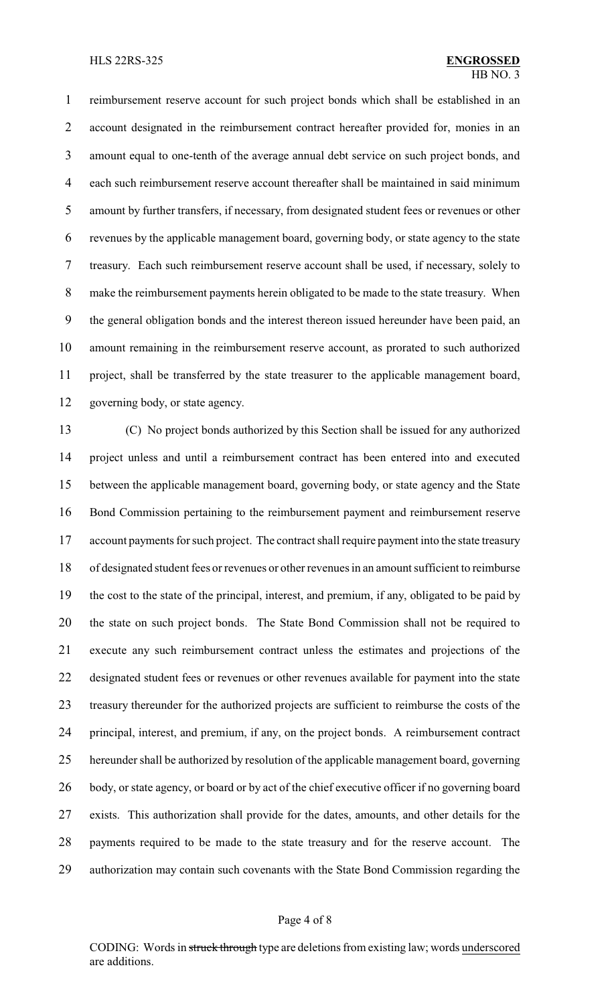reimbursement reserve account for such project bonds which shall be established in an account designated in the reimbursement contract hereafter provided for, monies in an amount equal to one-tenth of the average annual debt service on such project bonds, and each such reimbursement reserve account thereafter shall be maintained in said minimum amount by further transfers, if necessary, from designated student fees or revenues or other revenues by the applicable management board, governing body, or state agency to the state treasury. Each such reimbursement reserve account shall be used, if necessary, solely to make the reimbursement payments herein obligated to be made to the state treasury. When the general obligation bonds and the interest thereon issued hereunder have been paid, an amount remaining in the reimbursement reserve account, as prorated to such authorized project, shall be transferred by the state treasurer to the applicable management board, governing body, or state agency.

 (C) No project bonds authorized by this Section shall be issued for any authorized project unless and until a reimbursement contract has been entered into and executed between the applicable management board, governing body, or state agency and the State Bond Commission pertaining to the reimbursement payment and reimbursement reserve 17 account payments for such project. The contract shall require payment into the state treasury of designated student fees or revenues or other revenues in an amount sufficient to reimburse the cost to the state of the principal, interest, and premium, if any, obligated to be paid by the state on such project bonds. The State Bond Commission shall not be required to execute any such reimbursement contract unless the estimates and projections of the designated student fees or revenues or other revenues available for payment into the state treasury thereunder for the authorized projects are sufficient to reimburse the costs of the principal, interest, and premium, if any, on the project bonds. A reimbursement contract hereunder shall be authorized by resolution of the applicable management board, governing body, or state agency, or board or by act of the chief executive officer if no governing board exists. This authorization shall provide for the dates, amounts, and other details for the payments required to be made to the state treasury and for the reserve account. The authorization may contain such covenants with the State Bond Commission regarding the

### Page 4 of 8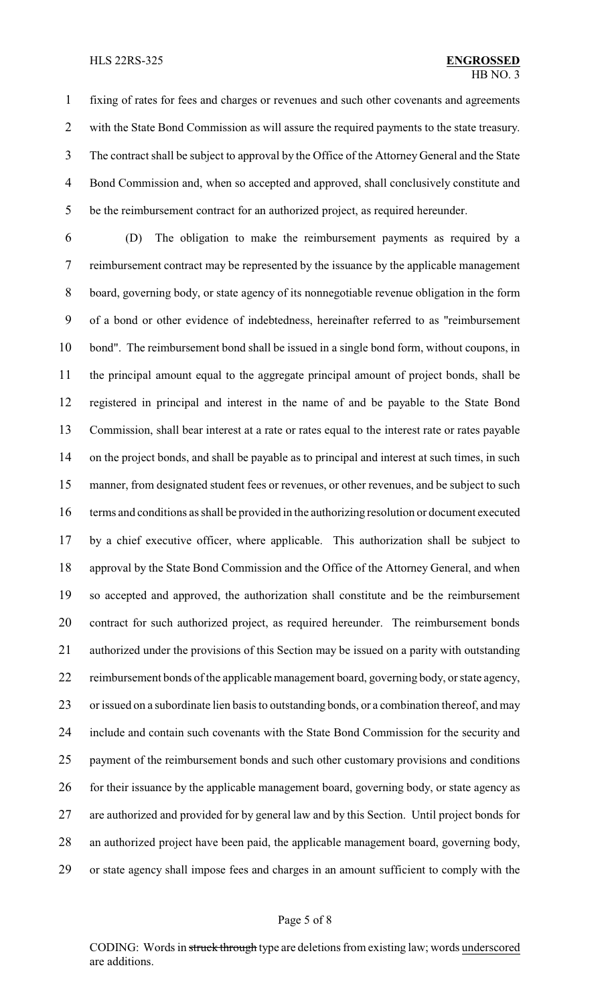#### HLS 22RS-325 **ENGROSSED**

 fixing of rates for fees and charges or revenues and such other covenants and agreements with the State Bond Commission as will assure the required payments to the state treasury. The contract shall be subject to approval by the Office of the Attorney General and the State Bond Commission and, when so accepted and approved, shall conclusively constitute and be the reimbursement contract for an authorized project, as required hereunder.

 (D) The obligation to make the reimbursement payments as required by a reimbursement contract may be represented by the issuance by the applicable management board, governing body, or state agency of its nonnegotiable revenue obligation in the form of a bond or other evidence of indebtedness, hereinafter referred to as "reimbursement bond". The reimbursement bond shall be issued in a single bond form, without coupons, in the principal amount equal to the aggregate principal amount of project bonds, shall be registered in principal and interest in the name of and be payable to the State Bond Commission, shall bear interest at a rate or rates equal to the interest rate or rates payable on the project bonds, and shall be payable as to principal and interest at such times, in such 15 manner, from designated student fees or revenues, or other revenues, and be subject to such terms and conditions as shall be provided in the authorizing resolution or document executed by a chief executive officer, where applicable. This authorization shall be subject to approval by the State Bond Commission and the Office of the Attorney General, and when so accepted and approved, the authorization shall constitute and be the reimbursement contract for such authorized project, as required hereunder. The reimbursement bonds authorized under the provisions of this Section may be issued on a parity with outstanding reimbursement bonds of the applicable management board, governing body, or state agency, or issued on a subordinate lien basis to outstanding bonds, or a combination thereof, and may include and contain such covenants with the State Bond Commission for the security and payment of the reimbursement bonds and such other customary provisions and conditions 26 for their issuance by the applicable management board, governing body, or state agency as are authorized and provided for by general law and by this Section. Until project bonds for an authorized project have been paid, the applicable management board, governing body, or state agency shall impose fees and charges in an amount sufficient to comply with the

### Page 5 of 8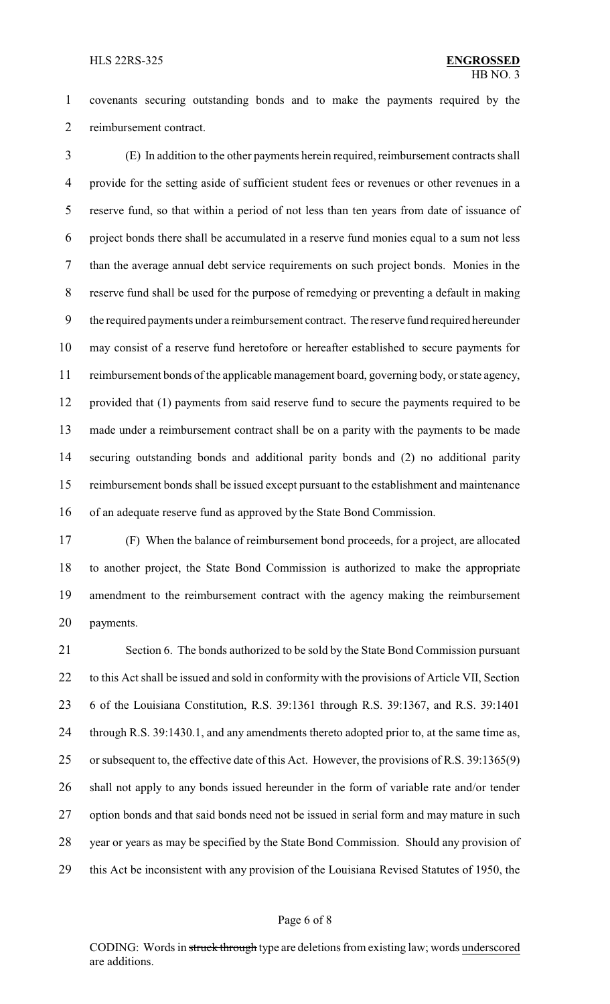covenants securing outstanding bonds and to make the payments required by the reimbursement contract.

 (E) In addition to the other payments herein required, reimbursement contracts shall provide for the setting aside of sufficient student fees or revenues or other revenues in a reserve fund, so that within a period of not less than ten years from date of issuance of project bonds there shall be accumulated in a reserve fund monies equal to a sum not less than the average annual debt service requirements on such project bonds. Monies in the reserve fund shall be used for the purpose of remedying or preventing a default in making the required payments under a reimbursement contract. The reserve fund required hereunder may consist of a reserve fund heretofore or hereafter established to secure payments for reimbursement bonds of the applicable management board, governing body, or state agency, provided that (1) payments from said reserve fund to secure the payments required to be made under a reimbursement contract shall be on a parity with the payments to be made securing outstanding bonds and additional parity bonds and (2) no additional parity reimbursement bonds shall be issued except pursuant to the establishment and maintenance of an adequate reserve fund as approved by the State Bond Commission.

 (F) When the balance of reimbursement bond proceeds, for a project, are allocated to another project, the State Bond Commission is authorized to make the appropriate amendment to the reimbursement contract with the agency making the reimbursement payments.

 Section 6. The bonds authorized to be sold by the State Bond Commission pursuant to this Act shall be issued and sold in conformity with the provisions of Article VII, Section 6 of the Louisiana Constitution, R.S. 39:1361 through R.S. 39:1367, and R.S. 39:1401 24 through R.S. 39:1430.1, and any amendments thereto adopted prior to, at the same time as, or subsequent to, the effective date of this Act. However, the provisions of R.S. 39:1365(9) shall not apply to any bonds issued hereunder in the form of variable rate and/or tender option bonds and that said bonds need not be issued in serial form and may mature in such year or years as may be specified by the State Bond Commission. Should any provision of this Act be inconsistent with any provision of the Louisiana Revised Statutes of 1950, the

## Page 6 of 8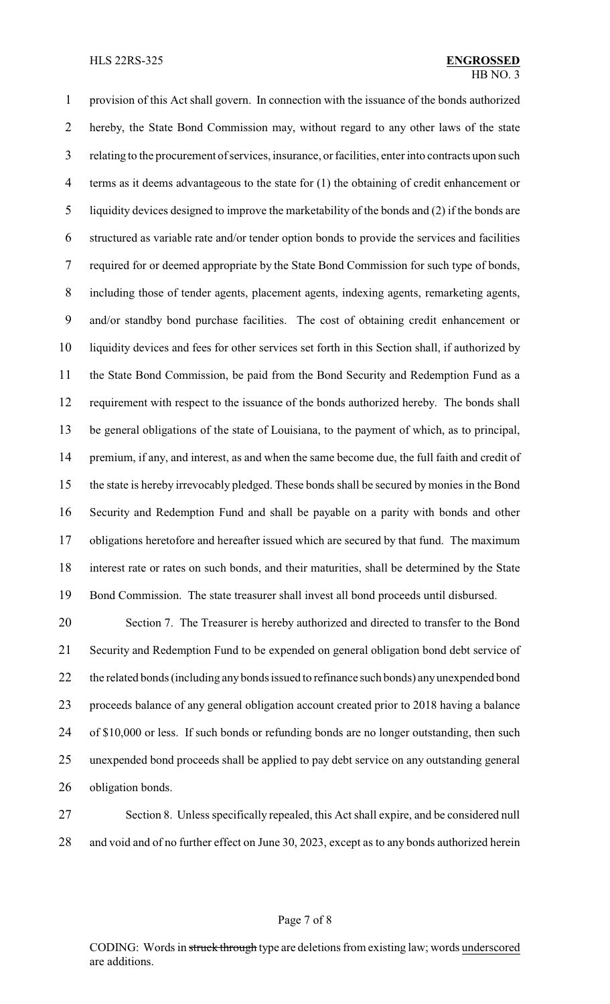provision of this Act shall govern. In connection with the issuance of the bonds authorized hereby, the State Bond Commission may, without regard to any other laws of the state relating to the procurement of services, insurance, or facilities, enter into contracts upon such terms as it deems advantageous to the state for (1) the obtaining of credit enhancement or liquidity devices designed to improve the marketability of the bonds and (2) if the bonds are structured as variable rate and/or tender option bonds to provide the services and facilities required for or deemed appropriate by the State Bond Commission for such type of bonds, including those of tender agents, placement agents, indexing agents, remarketing agents, and/or standby bond purchase facilities. The cost of obtaining credit enhancement or liquidity devices and fees for other services set forth in this Section shall, if authorized by the State Bond Commission, be paid from the Bond Security and Redemption Fund as a requirement with respect to the issuance of the bonds authorized hereby. The bonds shall be general obligations of the state of Louisiana, to the payment of which, as to principal, premium, if any, and interest, as and when the same become due, the full faith and credit of the state is hereby irrevocably pledged. These bonds shall be secured by monies in the Bond Security and Redemption Fund and shall be payable on a parity with bonds and other obligations heretofore and hereafter issued which are secured by that fund. The maximum interest rate or rates on such bonds, and their maturities, shall be determined by the State Bond Commission. The state treasurer shall invest all bond proceeds until disbursed.

 Section 7. The Treasurer is hereby authorized and directed to transfer to the Bond Security and Redemption Fund to be expended on general obligation bond debt service of the related bonds (including any bonds issued to refinance such bonds) anyunexpended bond proceeds balance of any general obligation account created prior to 2018 having a balance of \$10,000 or less. If such bonds or refunding bonds are no longer outstanding, then such unexpended bond proceeds shall be applied to pay debt service on any outstanding general obligation bonds.

 Section 8. Unless specifically repealed, this Act shall expire, and be considered null and void and of no further effect on June 30, 2023, except as to any bonds authorized herein